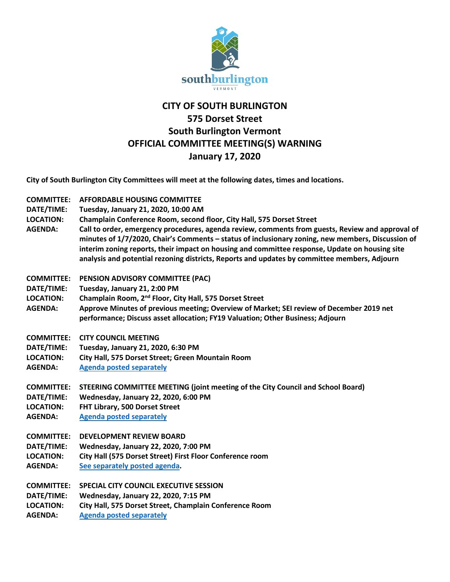

## **CITY OF SOUTH BURLINGTON 575 Dorset Street South Burlington Vermont OFFICIAL COMMITTEE MEETING(S) WARNING January 17, 2020**

**City of South Burlington City Committees will meet at the following dates, times and locations.** 

- **COMMITTEE: AFFORDABLE HOUSING COMMITTEE**
- **DATE/TIME: Tuesday, January 21, 2020, 10:00 AM**
- **LOCATION: Champlain Conference Room, second floor, City Hall, 575 Dorset Street**
- **AGENDA: Call to order, emergency procedures, agenda review, comments from guests, Review and approval of minutes of 1/7/2020, Chair's Comments – status of inclusionary zoning, new members, Discussion of interim zoning reports, their impact on housing and committee response, Update on housing site analysis and potential rezoning districts, Reports and updates by committee members, Adjourn**
- **COMMITTEE: PENSION ADVISORY COMMITTEE (PAC)**
- **DATE/TIME: Tuesday, January 21, 2:00 PM**
- **LOCATION: Champlain Room, 2nd Floor, City Hall, 575 Dorset Street**
- **AGENDA: Approve Minutes of previous meeting; Overview of Market; SEI review of December 2019 net performance; Discuss asset allocation; FY19 Valuation; Other Business; Adjourn**
- **COMMITTEE: CITY COUNCIL MEETING**
- **DATE/TIME: Tuesday, January 21, 2020, 6:30 PM**
- **LOCATION: City Hall, 575 Dorset Street; Green Mountain Room**
- **AGENDA: Agenda posted separately**
- **COMMITTEE: STEERING COMMITTEE MEETING (joint meeting of the City Council and School Board)**
- **DATE/TIME: Wednesday, January 22, 2020, 6:00 PM**
- **LOCATION: FHT Library, 500 Dorset Street**
- **AGENDA: Agenda posted separately**
- **COMMITTEE: DEVELOPMENT REVIEW BOARD**
- **DATE/TIME: Wednesday, January 22, 2020, 7:00 PM LOCATION: City Hall (575 Dorset Street) First Floor Conference room AGENDA: [See separately posted agenda.](http://sbvt-records.info/WebLink/Browse.aspx?id=86677&dbid=0&repo=sburl)**

**COMMITTEE: SPECIAL CITY COUNCIL EXECUTIVE SESSION DATE/TIME: Wednesday, January 22, 2020, 7:15 PM LOCATION: City Hall, 575 Dorset Street, Champlain Conference Room AGENDA: Agenda posted separately**